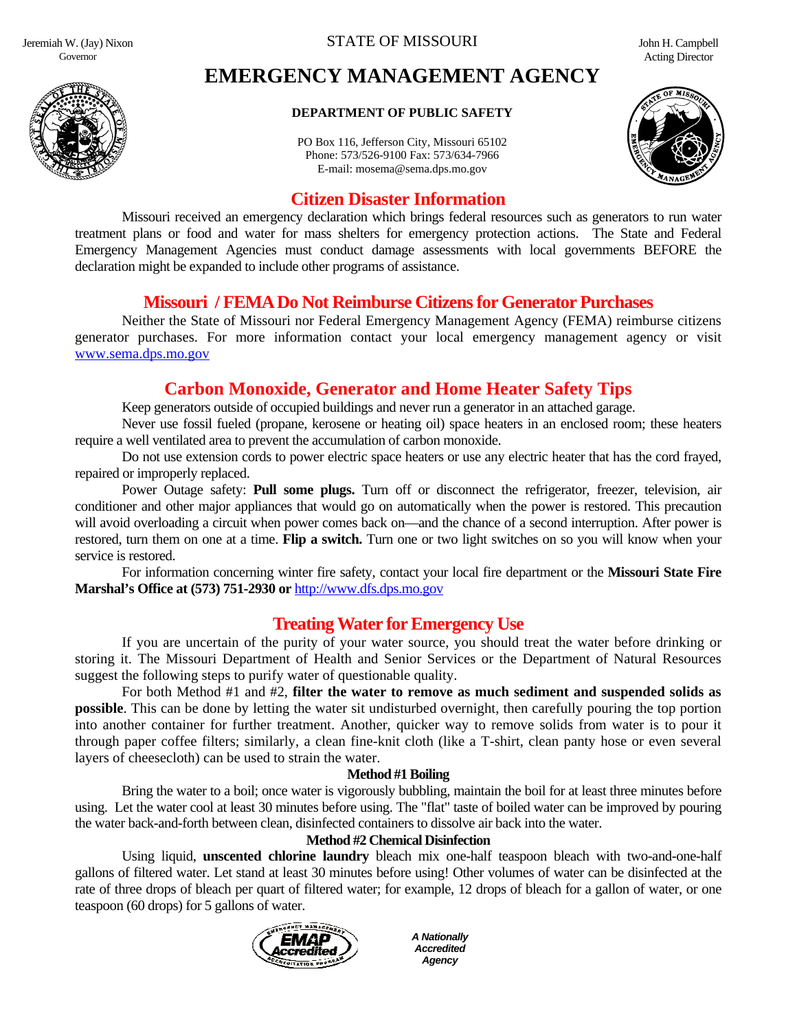Jeremiah W. (Jay) Nixon Governor



# **EMERGENCY MANAGEMENT AGENCY**

#### **DEPARTMENT OF PUBLIC SAFETY**

PO Box 116, Jefferson City, Missouri 65102 Phone: 573/526-9100 Fax: 573/634-7966 E-mail: mosema@sema.dps.mo.gov



# **Citizen Disaster Information**

 Missouri received an emergency declaration which brings federal resources such as generators to run water treatment plans or food and water for mass shelters for emergency protection actions. The State and Federal Emergency Management Agencies must conduct damage assessments with local governments BEFORE the declaration might be expanded to include other programs of assistance.

### **Missouri / FEMA Do Not Reimburse Citizens for Generator Purchases**

Neither the State of Missouri nor Federal Emergency Management Agency (FEMA) reimburse citizens generator purchases. For more information contact your local emergency management agency or visit [www.sema.dps.mo.gov](http://www.sema.dps.mo.gov/)

# **Carbon Monoxide, Generator and Home Heater Safety Tips**

Keep generators outside of occupied buildings and never run a generator in an attached garage.

Never use fossil fueled (propane, kerosene or heating oil) space heaters in an enclosed room; these heaters require a well ventilated area to prevent the accumulation of carbon monoxide.

Do not use extension cords to power electric space heaters or use any electric heater that has the cord frayed, repaired or improperly replaced.

Power Outage safety: **Pull some plugs.** Turn off or disconnect the refrigerator, freezer, television, air conditioner and other major appliances that would go on automatically when the power is restored. This precaution will avoid overloading a circuit when power comes back on—and the chance of a second interruption. After power is restored, turn them on one at a time. **Flip a switch.** Turn one or two light switches on so you will know when your service is restored.

 For information concerning winter fire safety, contact your local fire department or the **Missouri State Fire Marshal's Office at (573) 751-2930 or** [http://www.dfs.dps.mo.gov](http://www.dfs.dps.mo.gov/)

# **Treating Water for Emergency Use**

If you are uncertain of the purity of your water source, you should treat the water before drinking or storing it. The Missouri Department of Health and Senior Services or the Department of Natural Resources suggest the following steps to purify water of questionable quality.

For both Method #1 and #2, **filter the water to remove as much sediment and suspended solids as possible**. This can be done by letting the water sit undisturbed overnight, then carefully pouring the top portion into another container for further treatment. Another, quicker way to remove solids from water is to pour it through paper coffee filters; similarly, a clean fine-knit cloth (like a T-shirt, clean panty hose or even several layers of cheesecloth) can be used to strain the water.

#### **Method #1 Boiling**

Bring the water to a boil; once water is vigorously bubbling, maintain the boil for at least three minutes before using. Let the water cool at least 30 minutes before using. The "flat" taste of boiled water can be improved by pouring the water back-and-forth between clean, disinfected containers to dissolve air back into the water.

#### **Method #2 Chemical Disinfection**

Using liquid, **unscented chlorine laundry** bleach mix one-half teaspoon bleach with two-and-one-half gallons of filtered water. Let stand at least 30 minutes before using! Other volumes of water can be disinfected at the rate of three drops of bleach per quart of filtered water; for example, 12 drops of bleach for a gallon of water, or one teaspoon (60 drops) for 5 gallons of water.



*A Nationally Accredited Agency*